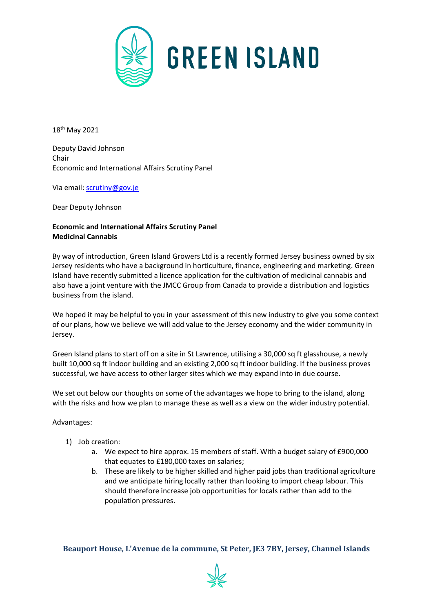

18th May 2021

Deputy David Johnson Chair Economic and International Affairs Scrutiny Panel

Via email: [scrutiny@gov.je](mailto:scrutiny@gov.je)

Dear Deputy Johnson

## **Economic and International Affairs Scrutiny Panel Medicinal Cannabis**

By way of introduction, Green Island Growers Ltd is a recently formed Jersey business owned by six Jersey residents who have a background in horticulture, finance, engineering and marketing. Green Island have recently submitted a licence application for the cultivation of medicinal cannabis and also have a joint venture with the JMCC Group from Canada to provide a distribution and logistics business from the island.

We hoped it may be helpful to you in your assessment of this new industry to give you some context of our plans, how we believe we will add value to the Jersey economy and the wider community in Jersey.

Green Island plans to start off on a site in St Lawrence, utilising a 30,000 sq ft glasshouse, a newly built 10,000 sq ft indoor building and an existing 2,000 sq ft indoor building. If the business proves successful, we have access to other larger sites which we may expand into in due course.

We set out below our thoughts on some of the advantages we hope to bring to the island, along with the risks and how we plan to manage these as well as a view on the wider industry potential.

## Advantages:

- 1) Job creation:
	- a. We expect to hire approx. 15 members of staff. With a budget salary of £900,000 that equates to £180,000 taxes on salaries;
	- b. These are likely to be higher skilled and higher paid jobs than traditional agriculture and we anticipate hiring locally rather than looking to import cheap labour. This should therefore increase job opportunities for locals rather than add to the population pressures.

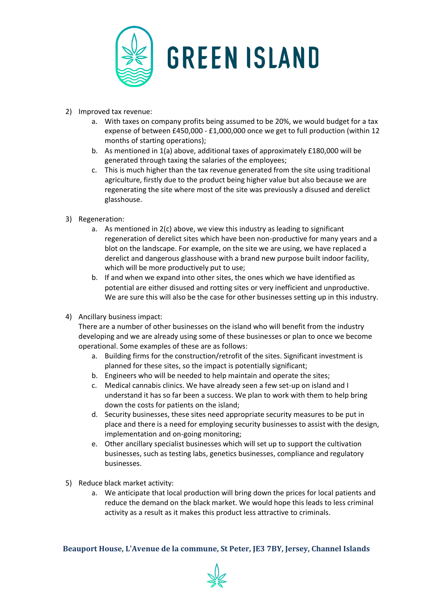

- 2) Improved tax revenue:
	- a. With taxes on company profits being assumed to be 20%, we would budget for a tax expense of between £450,000 - £1,000,000 once we get to full production (within 12 months of starting operations);
	- b. As mentioned in 1(a) above, additional taxes of approximately £180,000 will be generated through taxing the salaries of the employees;
	- c. This is much higher than the tax revenue generated from the site using traditional agriculture, firstly due to the product being higher value but also because we are regenerating the site where most of the site was previously a disused and derelict glasshouse.
- 3) Regeneration:
	- a. As mentioned in 2(c) above, we view this industry as leading to significant regeneration of derelict sites which have been non-productive for many years and a blot on the landscape. For example, on the site we are using, we have replaced a derelict and dangerous glasshouse with a brand new purpose built indoor facility, which will be more productively put to use;
	- b. If and when we expand into other sites, the ones which we have identified as potential are either disused and rotting sites or very inefficient and unproductive. We are sure this will also be the case for other businesses setting up in this industry.
- 4) Ancillary business impact:

There are a number of other businesses on the island who will benefit from the industry developing and we are already using some of these businesses or plan to once we become operational. Some examples of these are as follows:

- a. Building firms for the construction/retrofit of the sites. Significant investment is planned for these sites, so the impact is potentially significant;
- b. Engineers who will be needed to help maintain and operate the sites;
- c. Medical cannabis clinics. We have already seen a few set-up on island and I understand it has so far been a success. We plan to work with them to help bring down the costs for patients on the island;
- d. Security businesses, these sites need appropriate security measures to be put in place and there is a need for employing security businesses to assist with the design, implementation and on-going monitoring;
- e. Other ancillary specialist businesses which will set up to support the cultivation businesses, such as testing labs, genetics businesses, compliance and regulatory businesses.
- 5) Reduce black market activity:
	- a. We anticipate that local production will bring down the prices for local patients and reduce the demand on the black market. We would hope this leads to less criminal activity as a result as it makes this product less attractive to criminals.

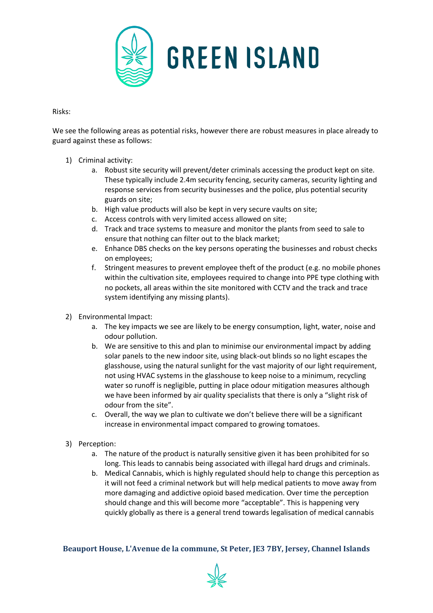

Risks:

We see the following areas as potential risks, however there are robust measures in place already to guard against these as follows:

- 1) Criminal activity:
	- a. Robust site security will prevent/deter criminals accessing the product kept on site. These typically include 2.4m security fencing, security cameras, security lighting and response services from security businesses and the police, plus potential security guards on site;
	- b. High value products will also be kept in very secure vaults on site;
	- c. Access controls with very limited access allowed on site;
	- d. Track and trace systems to measure and monitor the plants from seed to sale to ensure that nothing can filter out to the black market;
	- e. Enhance DBS checks on the key persons operating the businesses and robust checks on employees;
	- f. Stringent measures to prevent employee theft of the product (e.g. no mobile phones within the cultivation site, employees required to change into PPE type clothing with no pockets, all areas within the site monitored with CCTV and the track and trace system identifying any missing plants).
- 2) Environmental Impact:
	- a. The key impacts we see are likely to be energy consumption, light, water, noise and odour pollution.
	- b. We are sensitive to this and plan to minimise our environmental impact by adding solar panels to the new indoor site, using black-out blinds so no light escapes the glasshouse, using the natural sunlight for the vast majority of our light requirement, not using HVAC systems in the glasshouse to keep noise to a minimum, recycling water so runoff is negligible, putting in place odour mitigation measures although we have been informed by air quality specialists that there is only a "slight risk of odour from the site".
	- c. Overall, the way we plan to cultivate we don't believe there will be a significant increase in environmental impact compared to growing tomatoes.
- 3) Perception:
	- a. The nature of the product is naturally sensitive given it has been prohibited for so long. This leads to cannabis being associated with illegal hard drugs and criminals.
	- b. Medical Cannabis, which is highly regulated should help to change this perception as it will not feed a criminal network but will help medical patients to move away from more damaging and addictive opioid based medication. Over time the perception should change and this will become more "acceptable". This is happening very quickly globally as there is a general trend towards legalisation of medical cannabis